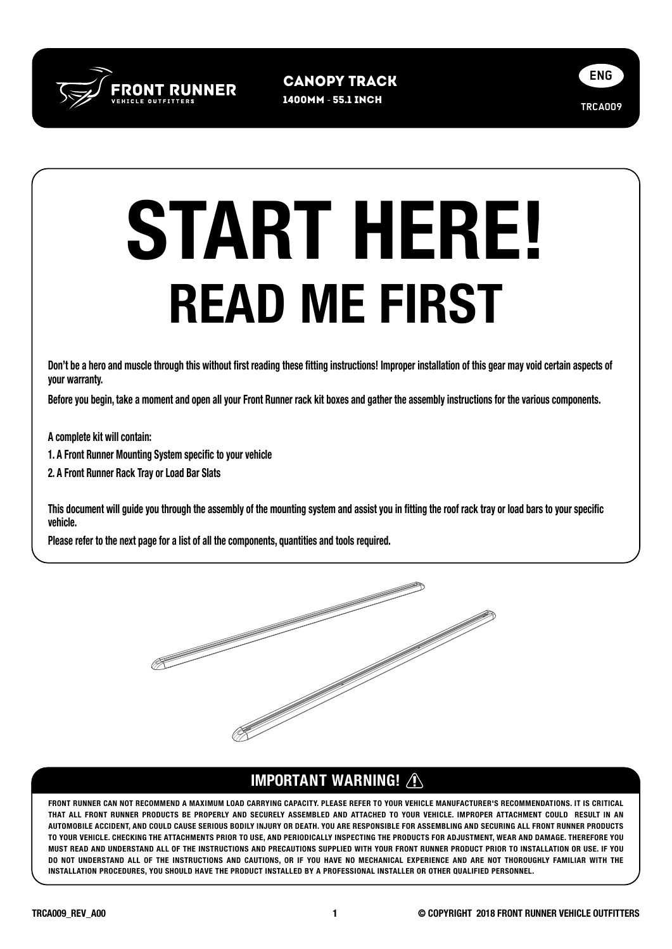

1400mm - 55.1 inch Canopy Track



## READ ME FIRST START HERE!

Don't be a hero and muscle through this without first reading these fitting instructions! Improper installation of this gear may void certain aspects of your warranty.

Before you begin, take a moment and open all your Front Runner rack kit boxes and gather the assembly instructions for the various components.

A complete kit will contain:

1. A Front Runner Mounting System specific to your vehicle

2. A Front Runner Rack Tray or Load Bar Slats

This document will guide you through the assembly of the mounting system and assist you in fitting the roof rack tray or load bars to your specific vehicle.

Please refer to the next page for a list of all the components, quantities and tools required.



## IMPORTANT WARNING!

FRONT RUNNER CAN NOT RECOMMEND A MAXIMUM LOAD CARRYING CAPACITY. PLEASE REFER TO YOUR VEHICLE MANUFACTURER'S RECOMMENDATIONS. IT IS CRITICAL THAT ALL FRONT RUNNER PRODUCTS BE PROPERLY AND SECURELY ASSEMBLED AND ATTACHED TO YOUR VEHICLE. IMPROPER ATTACHMENT COULD RESULT IN AN AUTOMOBILE ACCIDENT, AND COULD CAUSE SERIOUS BODILY INJURY OR DEATH. YOU ARE RESPONSIBLE FOR ASSEMBLING AND SECURING ALL FRONT RUNNER PRODUCTS TO YOUR VEHICLE. CHECKING THE ATTACHMENTS PRIOR TO USE, AND PERIODICALLY INSPECTING THE PRODUCTS FOR ADJUSTMENT, WEAR AND DAMAGE. THEREFORE YOU MUST READ AND UNDERSTAND ALL OF THE INSTRUCTIONS AND PRECAUTIONS SUPPLIED WITH YOUR FRONT RUNNER PRODUCT PRIOR TO INSTALLATION OR USE. IF YOU DO NOT UNDERSTAND ALL OF THE INSTRUCTIONS AND CAUTIONS, OR IF YOU HAVE NO MECHANICAL EXPERIENCE AND ARE NOT THOROUGHLY FAMILIAR WITH THE INSTALLATION PROCEDURES, YOU SHOULD HAVE THE PRODUCT INSTALLED BY A PROFESSIONAL INSTALLER OR OTHER QUALIFIED PERSONNEL.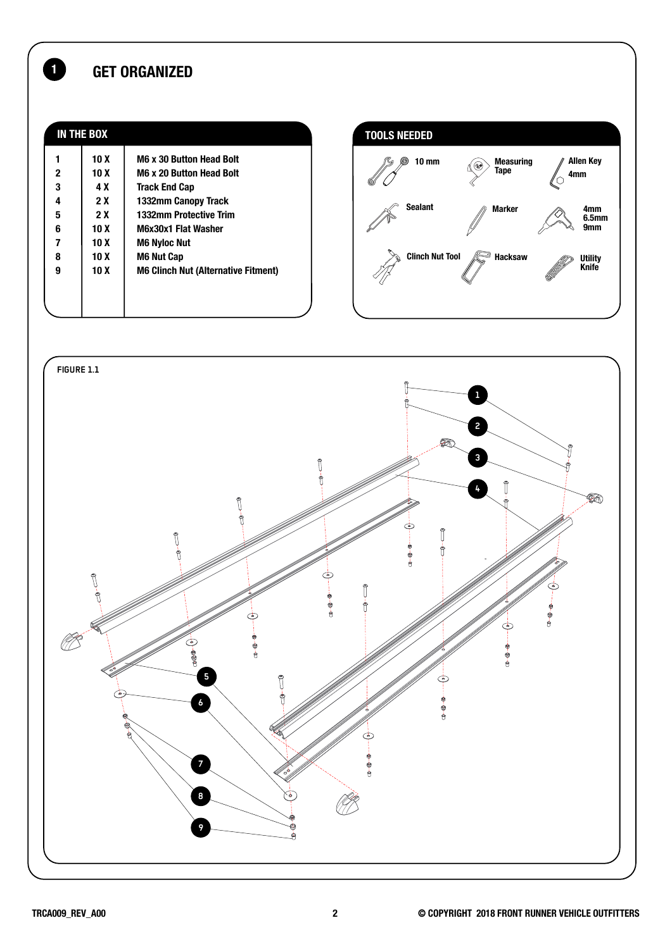## 1 GET ORGANIZED

| <b>IN THE BOX</b> |                 |                                            |
|-------------------|-----------------|--------------------------------------------|
|                   | 10 <sub>X</sub> | <b>M6 x 30 Button Head Bolt</b>            |
| 2                 | 10 X            | <b>M6 x 20 Button Head Bolt</b>            |
| 3                 | 4 X             | <b>Track End Cap</b>                       |
| 4                 | 2 X             | 1332mm Canopy Track                        |
| 5                 | 2X              | 1332mm Protective Trim                     |
| 6                 | 10 X            | M6x30x1 Flat Washer                        |
| 7                 | 10 X            | <b>M6 Nyloc Nut</b>                        |
| 8                 | 10 X            | <b>M6 Nut Cap</b>                          |
| 9                 | 10 X            | <b>M6 Clinch Nut (Alternative Fitment)</b> |
|                   |                 |                                            |
|                   |                 |                                            |
|                   |                 |                                            |